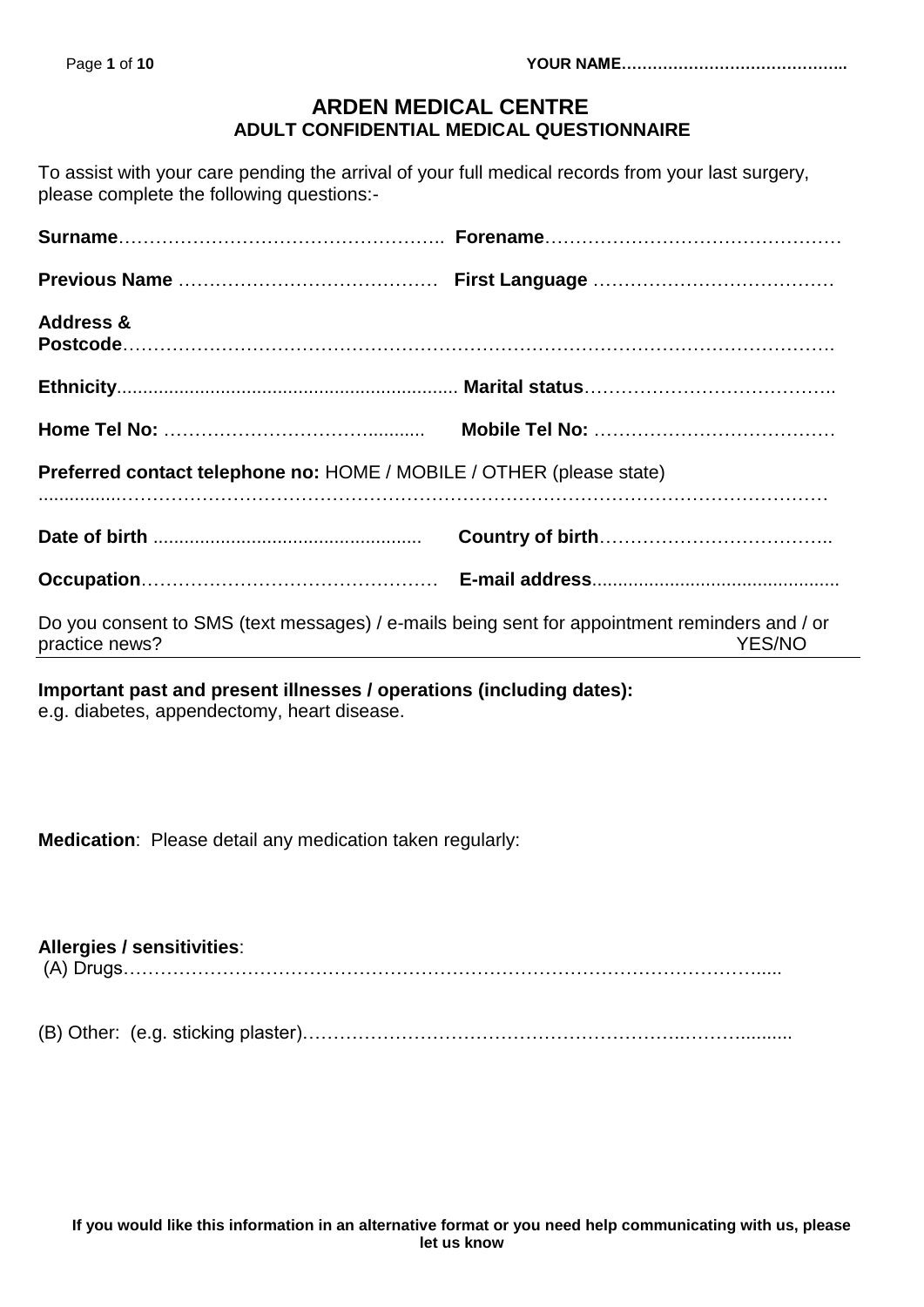# **ARDEN MEDICAL CENTRE ADULT CONFIDENTIAL MEDICAL QUESTIONNAIRE**

To assist with your care pending the arrival of your full medical records from your last surgery, please complete the following questions:-

| <b>Address &amp;</b>                                                                                            |               |
|-----------------------------------------------------------------------------------------------------------------|---------------|
|                                                                                                                 |               |
|                                                                                                                 |               |
| Preferred contact telephone no: HOME / MOBILE / OTHER (please state)                                            |               |
|                                                                                                                 |               |
|                                                                                                                 |               |
| Do you consent to SMS (text messages) / e-mails being sent for appointment reminders and / or<br>practice news? | <b>YES/NO</b> |

# **Important past and present illnesses / operations (including dates):**

e.g. diabetes, appendectomy, heart disease.

**Medication**: Please detail any medication taken regularly:

| <b>Allergies / sensitivities:</b> |  |
|-----------------------------------|--|
|                                   |  |

(B) Other: (e.g. sticking plaster)……………………………………………………..………..........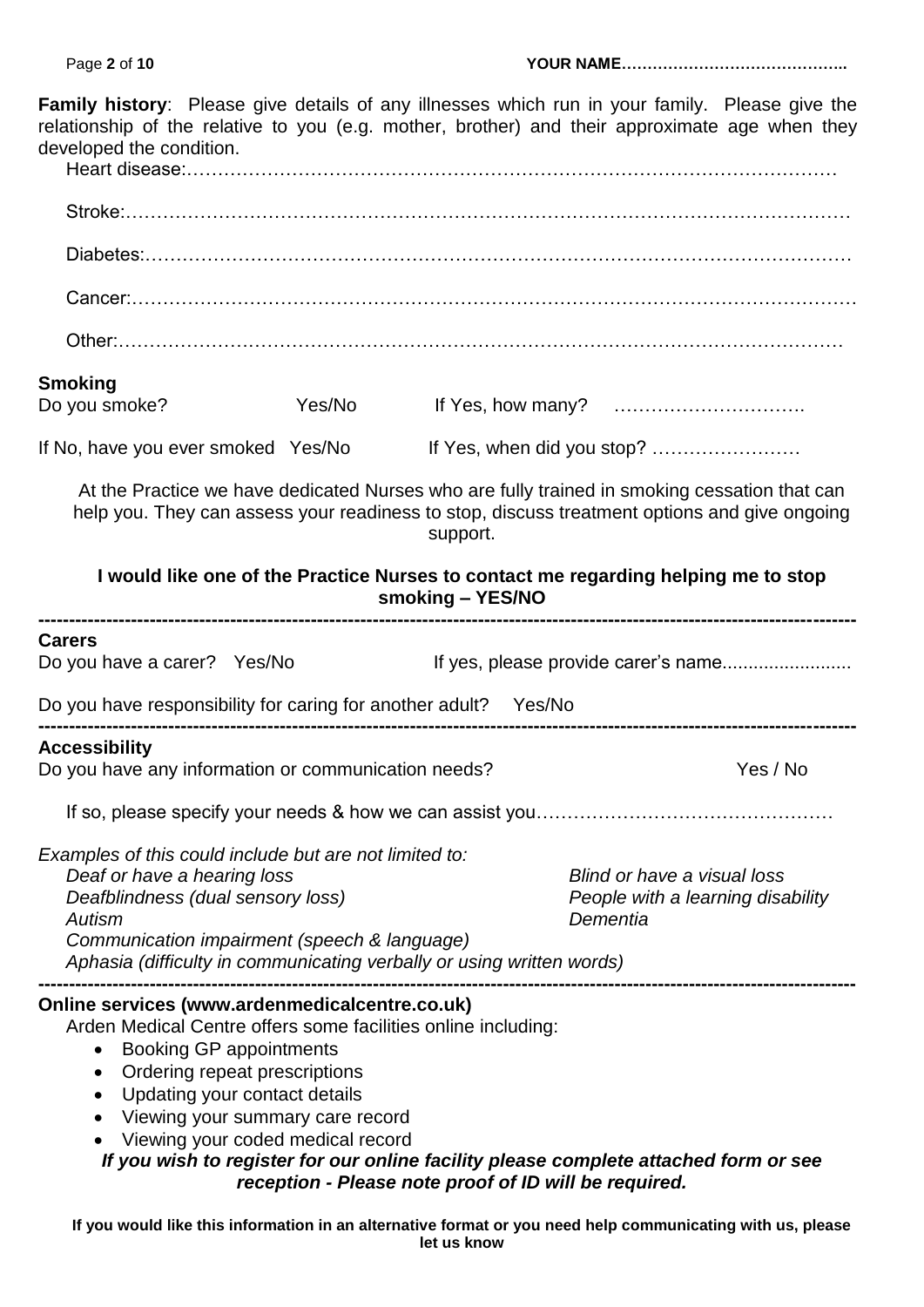| <b>Family history:</b> Please give details of any illnesses which run in your family. Please give the<br>relationship of the relative to you (e.g. mother, brother) and their approximate age when they<br>developed the condition.                                                                                                                                                                                      |        |                                                       |                                                                              |          |
|--------------------------------------------------------------------------------------------------------------------------------------------------------------------------------------------------------------------------------------------------------------------------------------------------------------------------------------------------------------------------------------------------------------------------|--------|-------------------------------------------------------|------------------------------------------------------------------------------|----------|
|                                                                                                                                                                                                                                                                                                                                                                                                                          |        |                                                       |                                                                              |          |
|                                                                                                                                                                                                                                                                                                                                                                                                                          |        |                                                       |                                                                              |          |
|                                                                                                                                                                                                                                                                                                                                                                                                                          |        |                                                       |                                                                              |          |
|                                                                                                                                                                                                                                                                                                                                                                                                                          |        |                                                       |                                                                              |          |
| <b>Smoking</b>                                                                                                                                                                                                                                                                                                                                                                                                           |        |                                                       |                                                                              |          |
| Do you smoke?                                                                                                                                                                                                                                                                                                                                                                                                            | Yes/No |                                                       |                                                                              |          |
| If No, have you ever smoked Yes/No                                                                                                                                                                                                                                                                                                                                                                                       |        |                                                       |                                                                              |          |
| At the Practice we have dedicated Nurses who are fully trained in smoking cessation that can<br>help you. They can assess your readiness to stop, discuss treatment options and give ongoing                                                                                                                                                                                                                             |        | support.                                              |                                                                              |          |
| I would like one of the Practice Nurses to contact me regarding helping me to stop                                                                                                                                                                                                                                                                                                                                       |        | smoking - YES/NO                                      |                                                                              |          |
| <b>Carers</b><br>Do you have a carer? Yes/No                                                                                                                                                                                                                                                                                                                                                                             |        |                                                       | If yes, please provide carer's name                                          |          |
| Do you have responsibility for caring for another adult? Yes/No                                                                                                                                                                                                                                                                                                                                                          |        |                                                       |                                                                              |          |
| <b>Accessibility</b><br>Do you have any information or communication needs?                                                                                                                                                                                                                                                                                                                                              |        |                                                       |                                                                              | Yes / No |
|                                                                                                                                                                                                                                                                                                                                                                                                                          |        |                                                       |                                                                              |          |
| Examples of this could include but are not limited to:<br>Deaf or have a hearing loss<br>Deafblindness (dual sensory loss)<br>Autism<br>Communication impairment (speech & language)<br>Aphasia (difficulty in communicating verbally or using written words)                                                                                                                                                            |        |                                                       | Blind or have a visual loss<br>People with a learning disability<br>Dementia |          |
| Online services (www.ardenmedicalcentre.co.uk)<br>Arden Medical Centre offers some facilities online including:<br><b>Booking GP appointments</b><br>٠<br>Ordering repeat prescriptions<br>$\bullet$<br>Updating your contact details<br>٠<br>Viewing your summary care record<br>$\bullet$<br>Viewing your coded medical record<br>If you wish to register for our online facility please complete attached form or see |        | reception - Please note proof of ID will be required. |                                                                              |          |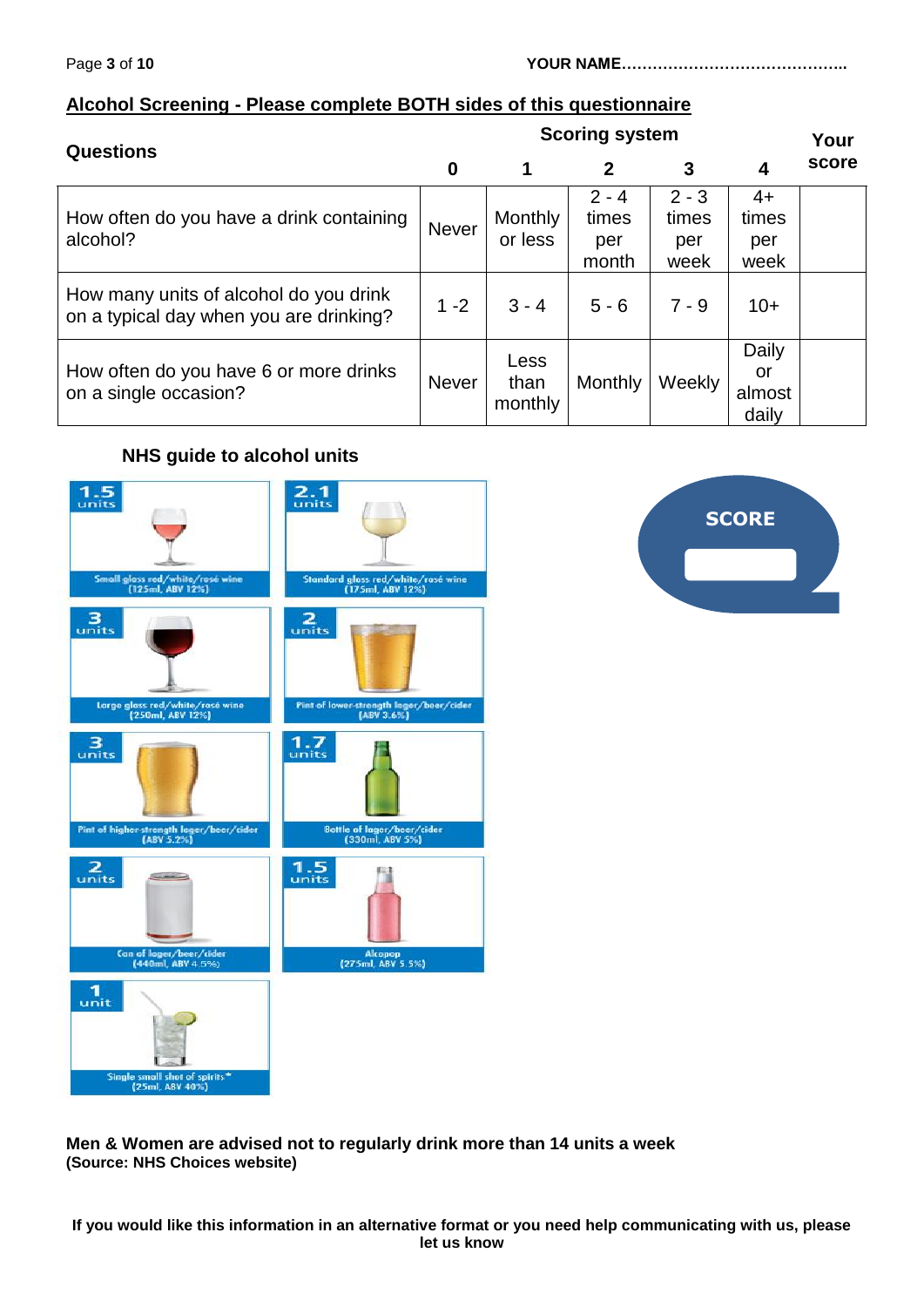## **Alcohol Screening - Please complete BOTH sides of this questionnaire**

| <b>Questions</b>                                                                  | <b>Scoring system</b> |                           |                                  |                                 | Your                           |       |
|-----------------------------------------------------------------------------------|-----------------------|---------------------------|----------------------------------|---------------------------------|--------------------------------|-------|
|                                                                                   | 0                     | 1                         | $\mathbf{2}$                     | 3                               | 4                              | score |
| How often do you have a drink containing<br>alcohol?                              | <b>Never</b>          | <b>Monthly</b><br>or less | $2 - 4$<br>times<br>per<br>month | $2 - 3$<br>times<br>per<br>week | 4+<br>times<br>per<br>week     |       |
| How many units of alcohol do you drink<br>on a typical day when you are drinking? | $1 - 2$               | $3 - 4$                   | $5 - 6$                          | $7 - 9$                         | $10+$                          |       |
| How often do you have 6 or more drinks<br>on a single occasion?                   | <b>Never</b>          | Less<br>than<br>monthly   | Monthly                          | Weekly                          | Daily<br>or<br>almost<br>daily |       |

## **NHS guide to alcohol units**





**Men & Women are advised not to regularly drink more than 14 units a week (Source: NHS Choices website)**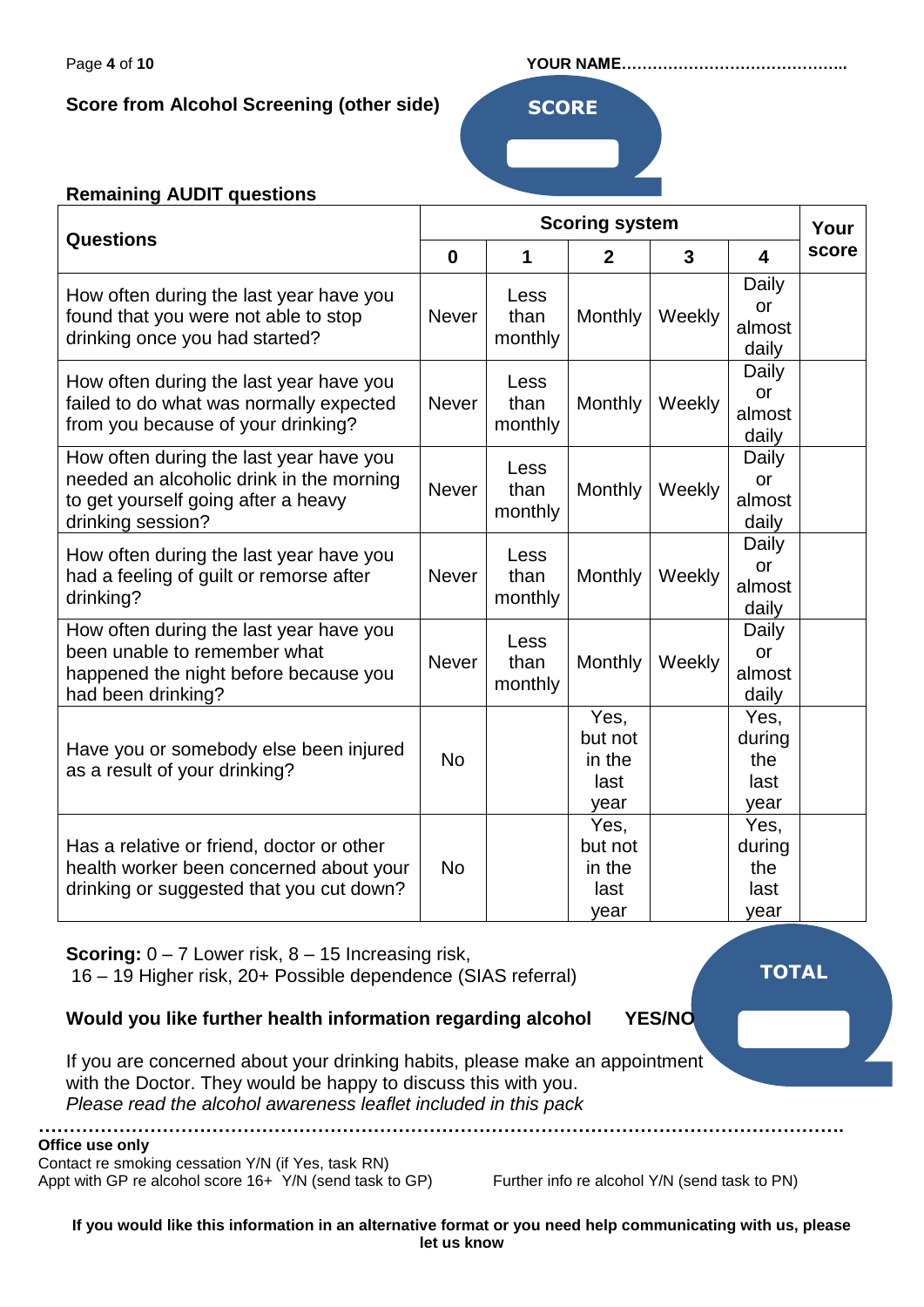**Score from Alcohol Screening (other side) <b>SCORE** 

#### Page **4** of **10 YOUR NAME……………………………………..**

## **Remaining AUDIT questions**

|                                           | <b>Scoring system</b>                      |         |                     | Your   |                         |       |
|-------------------------------------------|--------------------------------------------|---------|---------------------|--------|-------------------------|-------|
| <b>Questions</b>                          | $\bf{0}$                                   | 1       | $\mathbf{2}$        | 3      | $\overline{\mathbf{4}}$ | score |
| How often during the last year have you   |                                            | Less    |                     |        | Daily                   |       |
| found that you were not able to stop      | <b>Never</b>                               | than    | Monthly             | Weekly | <b>or</b>               |       |
| drinking once you had started?            |                                            | monthly |                     |        | almost                  |       |
|                                           |                                            |         |                     |        | daily                   |       |
| How often during the last year have you   |                                            | Less    |                     |        | Daily                   |       |
| failed to do what was normally expected   | <b>Never</b>                               | than    | Monthly             | Weekly | or                      |       |
| from you because of your drinking?        |                                            | monthly |                     |        | almost                  |       |
|                                           |                                            |         |                     |        | daily                   |       |
| How often during the last year have you   |                                            | Less    |                     |        | Daily                   |       |
| needed an alcoholic drink in the morning  | <b>Never</b>                               | than    | Monthly             | Weekly | or                      |       |
| to get yourself going after a heavy       |                                            | monthly |                     |        | almost                  |       |
| drinking session?                         |                                            |         |                     |        | daily                   |       |
| How often during the last year have you   |                                            | Less    |                     |        | Daily                   |       |
| had a feeling of guilt or remorse after   | than<br>Monthly<br><b>Never</b>            | Weekly  | <b>or</b><br>almost |        |                         |       |
| drinking?                                 |                                            | monthly |                     |        |                         |       |
| How often during the last year have you   |                                            |         |                     |        | daily                   |       |
| been unable to remember what              |                                            | Less    |                     |        | Daily<br>or             |       |
| happened the night before because you     | than<br><b>Never</b><br>Monthly<br>monthly |         |                     | Weekly | almost                  |       |
| had been drinking?                        |                                            |         | daily               |        |                         |       |
|                                           |                                            |         | Yes,                |        | Yes,                    |       |
|                                           |                                            |         | but not             |        | during                  |       |
| Have you or somebody else been injured    | <b>No</b>                                  |         | in the              |        | the                     |       |
| as a result of your drinking?             |                                            |         | last                |        | last                    |       |
|                                           |                                            |         | year                |        | year                    |       |
|                                           |                                            |         | Yes,                |        | Yes,                    |       |
| Has a relative or friend, doctor or other |                                            |         | but not             |        | during                  |       |
| health worker been concerned about your   | <b>No</b>                                  |         | in the              |        | the                     |       |
| drinking or suggested that you cut down?  |                                            |         | last                |        | last                    |       |
|                                           |                                            |         | year                |        | year                    |       |

**Scoring:** 0 – 7 Lower risk, 8 – 15 Increasing risk,

16 – 19 Higher risk, 20+ Possible dependence (SIAS referral)

**………………………………………………………………………………………………………………….**

## **Would you like further health information regarding alcohol YES/NO**

**TOTAL**

If you are concerned about your drinking habits, please make an appointment with the Doctor. They would be happy to discuss this with you. *Please read the alcohol awareness leaflet included in this pack*

**Office use only**

Contact re smoking cessation Y/N (if Yes, task RN) Appt with GP re alcohol score 16+ Y/N (send task to GP) Further info re alcohol Y/N (send task to PN)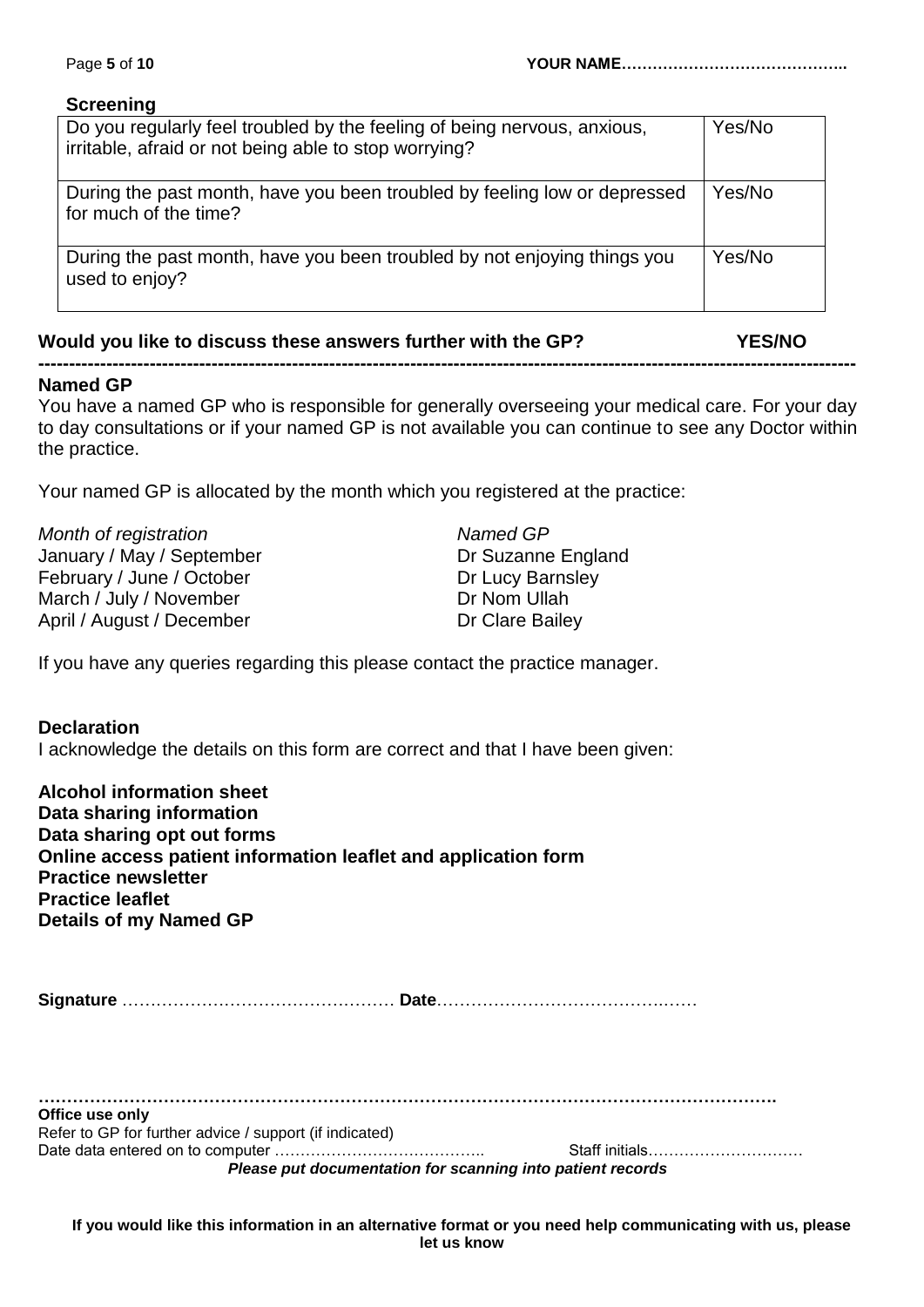# **Screening**

| Do you regularly feel troubled by the feeling of being nervous, anxious,<br>irritable, afraid or not being able to stop worrying? | Yes/No |
|-----------------------------------------------------------------------------------------------------------------------------------|--------|
| During the past month, have you been troubled by feeling low or depressed<br>for much of the time?                                | Yes/No |
| During the past month, have you been troubled by not enjoying things you<br>used to enjoy?                                        | Yes/No |

# **Would you like to discuss these answers further with the GP? YES/NO**

#### **------------------------------------------------------------------------------------------------------------------------------------ Named GP**

You have a named GP who is responsible for generally overseeing your medical care. For your day to day consultations or if your named GP is not available you can continue to see any Doctor within the practice.

Your named GP is allocated by the month which you registered at the practice:

| Month of registration     | Named GP           |
|---------------------------|--------------------|
| January / May / September | Dr Suzanne England |
| February / June / October | Dr Lucy Barnsley   |
| March / July / November   | Dr Nom Ullah       |
| April / August / December | Dr Clare Bailey    |

If you have any queries regarding this please contact the practice manager.

## **Declaration**

I acknowledge the details on this form are correct and that I have been given:

| <b>Alcohol information sheet</b>                               |                |  |  |  |  |  |
|----------------------------------------------------------------|----------------|--|--|--|--|--|
| Data sharing information                                       |                |  |  |  |  |  |
| Data sharing opt out forms                                     |                |  |  |  |  |  |
| Online access patient information leaflet and application form |                |  |  |  |  |  |
| <b>Practice newsletter</b>                                     |                |  |  |  |  |  |
| <b>Practice leaflet</b>                                        |                |  |  |  |  |  |
| Details of my Named GP                                         |                |  |  |  |  |  |
|                                                                |                |  |  |  |  |  |
|                                                                |                |  |  |  |  |  |
| Office use only                                                |                |  |  |  |  |  |
| Refer to GP for further advice / support (if indicated)        | Staff initials |  |  |  |  |  |
| Please put documentation for scanning into patient records     |                |  |  |  |  |  |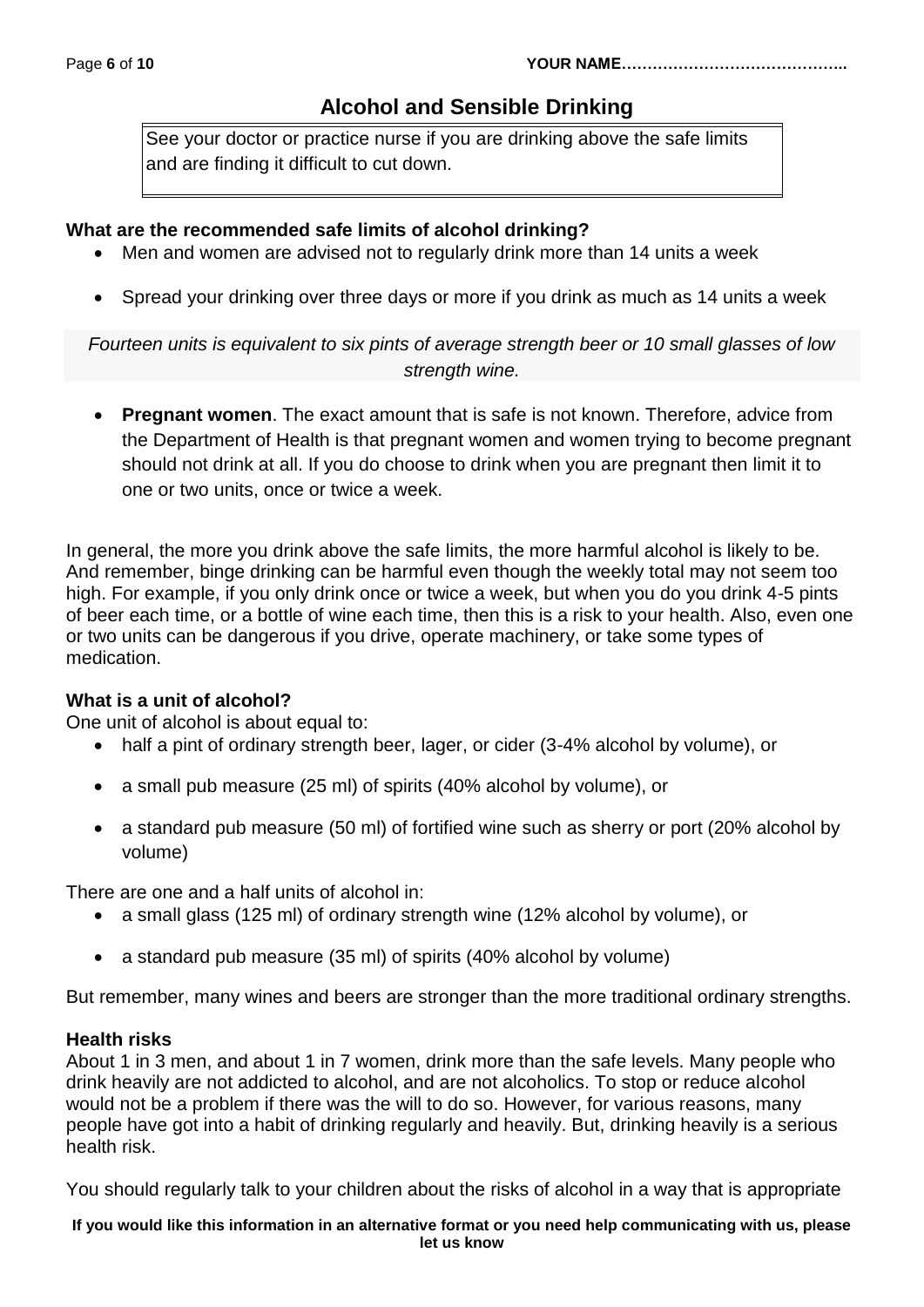# **Alcohol and Sensible Drinking**

See your doctor or practice nurse if you are drinking above the safe limits and are finding it difficult to cut down.

## **What are the recommended safe limits of alcohol drinking?**

- Men and women are advised not to regularly drink more than 14 units a week
- Spread your drinking over three days or more if you drink as much as 14 units a week

*Fourteen units is equivalent to six pints of average strength beer or 10 small glasses of low strength wine.*

 **Pregnant women**. The exact amount that is safe is not known. Therefore, advice from the Department of Health is that pregnant women and women trying to become pregnant should not drink at all. If you do choose to drink when you are pregnant then limit it to one or two units, once or twice a week.

In general, the more you drink above the safe limits, the more harmful alcohol is likely to be. And remember, binge drinking can be harmful even though the weekly total may not seem too high. For example, if you only drink once or twice a week, but when you do you drink 4-5 pints of beer each time, or a bottle of wine each time, then this is a risk to your health. Also, even one or two units can be dangerous if you drive, operate machinery, or take some types of medication.

## **What is a unit of alcohol?**

One unit of alcohol is about equal to:

- half a pint of ordinary strength beer, lager, or cider (3-4% alcohol by volume), or
- a small pub measure (25 ml) of spirits (40% alcohol by volume), or
- a standard pub measure (50 ml) of fortified wine such as sherry or port (20% alcohol by volume)

There are one and a half units of alcohol in:

- a small glass (125 ml) of ordinary strength wine (12% alcohol by volume), or
- a standard pub measure (35 ml) of spirits (40% alcohol by volume)

But remember, many wines and beers are stronger than the more traditional ordinary strengths.

## **Health risks**

About 1 in 3 men, and about 1 in 7 women, drink more than the safe levels. Many people who drink heavily are not addicted to alcohol, and are not alcoholics. To stop or reduce alcohol would not be a problem if there was the will to do so. However, for various reasons, many people have got into a habit of drinking regularly and heavily. But, drinking heavily is a serious health risk.

You should regularly talk to your children about the risks of alcohol in a way that is appropriate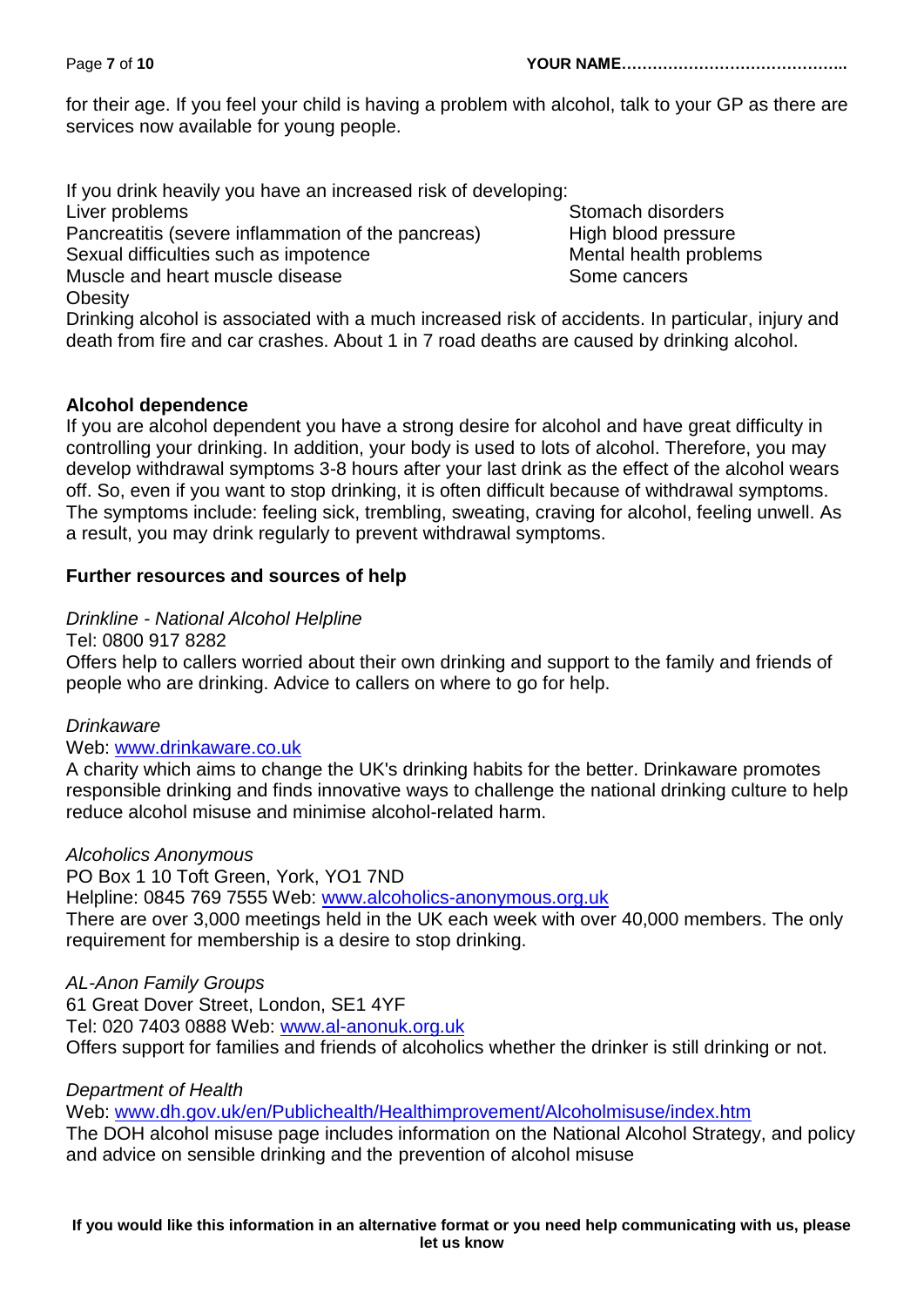Page **7** of **10 YOUR NAME……………………………………..**

for their age. If you feel your child is having a problem with alcohol, talk to your GP as there are services now available for young people.

If you drink heavily you have an increased risk of developing: Liver problems Stomach disorders Stomach disorders Pancreatitis (severe inflammation of the pancreas) High blood pressure Sexual difficulties such as impotence Mental health problems Muscle and heart muscle disease Some cancers **Obesity** 

Drinking alcohol is associated with a much increased risk of accidents. In particular, injury and death from fire and car crashes. About 1 in 7 road deaths are caused by drinking alcohol.

## **Alcohol dependence**

If you are alcohol dependent you have a strong desire for alcohol and have great difficulty in controlling your drinking. In addition, your body is used to lots of alcohol. Therefore, you may develop withdrawal symptoms 3-8 hours after your last drink as the effect of the alcohol wears off. So, even if you want to stop drinking, it is often difficult because of withdrawal symptoms. The symptoms include: feeling sick, trembling, sweating, craving for alcohol, feeling unwell. As a result, you may drink regularly to prevent withdrawal symptoms.

## **Further resources and sources of help**

*Drinkline - National Alcohol Helpline*

Tel: 0800 917 8282

Offers help to callers worried about their own drinking and support to the family and friends of people who are drinking. Advice to callers on where to go for help.

## *Drinkaware*

## Web: [www.drinkaware.co.uk](http://www.drinkaware.co.uk/)

A charity which aims to change the UK's drinking habits for the better. Drinkaware promotes responsible drinking and finds innovative ways to challenge the national drinking culture to help reduce alcohol misuse and minimise alcohol-related harm.

## *Alcoholics Anonymous*

PO Box 1 10 Toft Green, York, YO1 7ND

Helpline: 0845 769 7555 Web: [www.alcoholics-anonymous.org.uk](http://www.alcoholics-anonymous.org.uk/)

There are over 3,000 meetings held in the UK each week with over 40,000 members. The only requirement for membership is a desire to stop drinking.

## *AL-Anon Family Groups*

61 Great Dover Street, London, SE1 4YF Tel: 020 7403 0888 Web: [www.al-anonuk.org.uk](http://www.al-anonuk.org.uk/) Offers support for families and friends of alcoholics whether the drinker is still drinking or not.

## *Department of Health*

Web: [www.dh.gov.uk/en/Publichealth/Healthimprovement/Alcoholmisuse/index.htm](http://www.dh.gov.uk/en/Publichealth/Healthimprovement/Alcoholmisuse/index.htm)

The DOH alcohol misuse page includes information on the National Alcohol Strategy, and policy and advice on sensible drinking and the prevention of alcohol misuse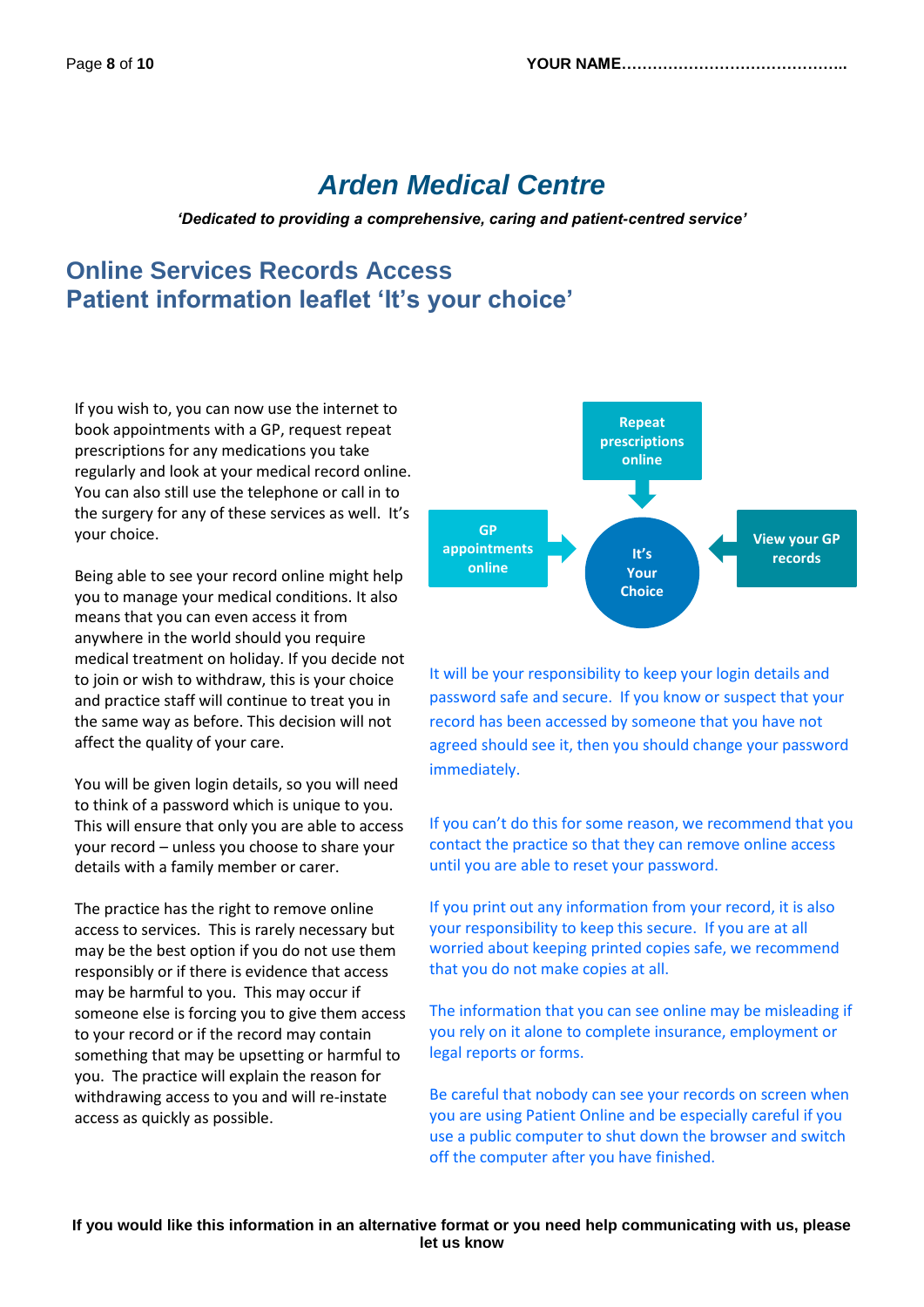# *Arden Medical Centre*

*'Dedicated to providing a comprehensive, caring and patient-centred service'*

# **Online Services Records Access Patient information leaflet 'It's your choice'**

If you wish to, you can now use the internet to book appointments with a GP, request repeat prescriptions for any medications you take regularly and look at your medical record online. You can also still use the telephone or call in to the surgery for any of these services as well. It's your choice.

Being able to see your record online might help you to manage your medical conditions. It also means that you can even access it from anywhere in the world should you require medical treatment on holiday. If you decide not to join or wish to withdraw, this is your choice and practice staff will continue to treat you in the same way as before. This decision will not affect the quality of your care.

You will be given login details, so you will need to think of a password which is unique to you. This will ensure that only you are able to access your record – unless you choose to share your details with a family member or carer.

The practice has the right to remove online access to services. This is rarely necessary but may be the best option if you do not use them responsibly or if there is evidence that access may be harmful to you. This may occur if someone else is forcing you to give them access to your record or if the record may contain something that may be upsetting or harmful to you. The practice will explain the reason for withdrawing access to you and will re-instate access as quickly as possible.



It will be your responsibility to keep your login details and password safe and secure. If you know or suspect that your record has been accessed by someone that you have not agreed should see it, then you should change your password immediately.

If you can't do this for some reason, we recommend that you contact the practice so that they can remove online access until you are able to reset your password.

If you print out any information from your record, it is also your responsibility to keep this secure. If you are at all worried about keeping printed copies safe, we recommend that you do not make copies at all.

The information that you can see online may be misleading if you rely on it alone to complete insurance, employment or legal reports or forms.

Be careful that nobody can see your records on screen when you are using Patient Online and be especially careful if you use a public computer to shut down the browser and switch off the computer after you have finished.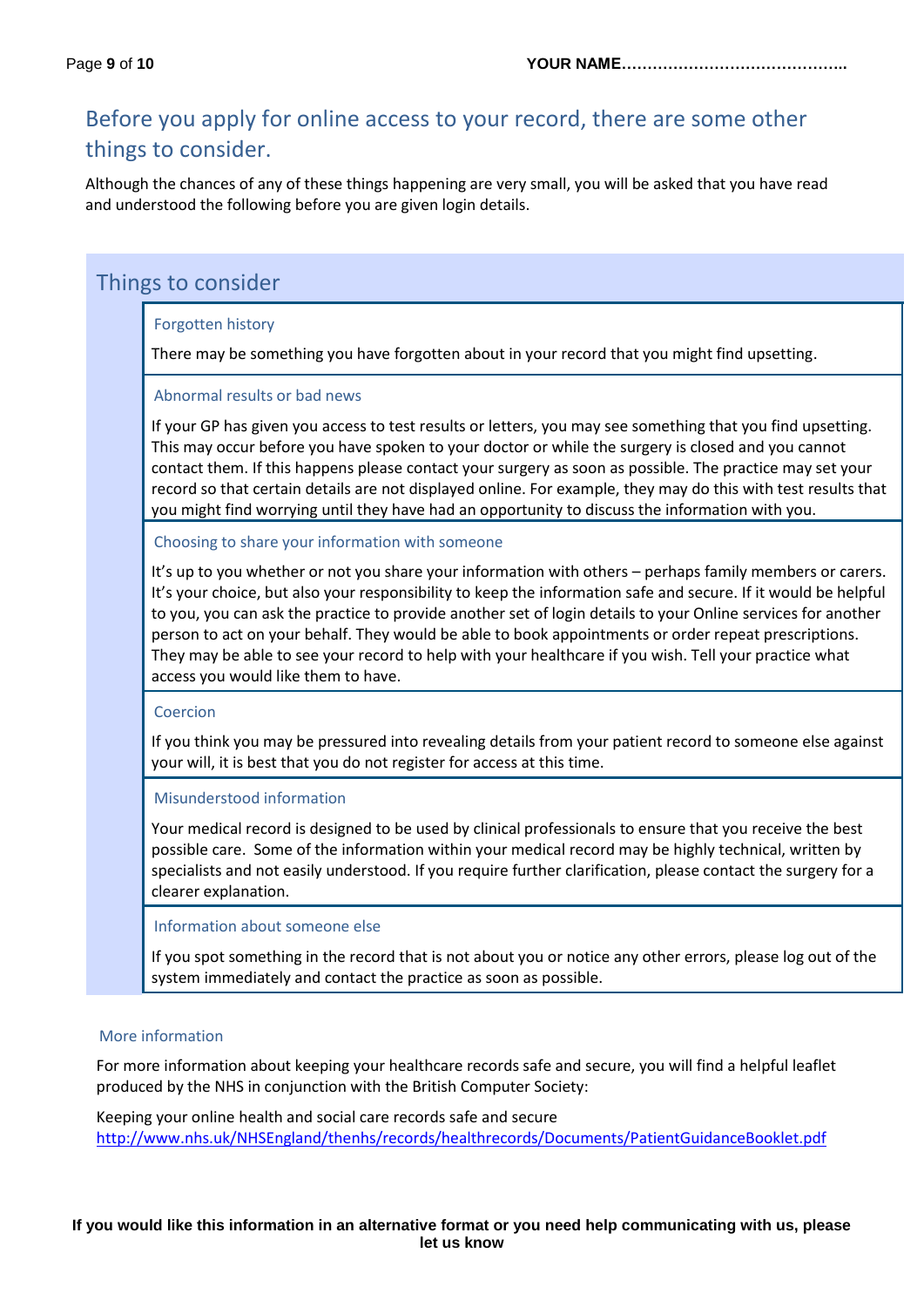# Before you apply for online access to your record, there are some other things to consider.

Although the chances of any of these things happening are very small, you will be asked that you have read and understood the following before you are given login details.

# Things to consider

#### Forgotten history

There may be something you have forgotten about in your record that you might find upsetting.

#### Abnormal results or bad news

If your GP has given you access to test results or letters, you may see something that you find upsetting. This may occur before you have spoken to your doctor or while the surgery is closed and you cannot contact them. If this happens please contact your surgery as soon as possible. The practice may set your record so that certain details are not displayed online. For example, they may do this with test results that you might find worrying until they have had an opportunity to discuss the information with you.

Choosing to share your information with someone

It's up to you whether or not you share your information with others – perhaps family members or carers. It's your choice, but also your responsibility to keep the information safe and secure. If it would be helpful to you, you can ask the practice to provide another set of login details to your Online services for another person to act on your behalf. They would be able to book appointments or order repeat prescriptions. They may be able to see your record to help with your healthcare if you wish. Tell your practice what access you would like them to have.

#### Coercion

If you think you may be pressured into revealing details from your patient record to someone else against your will, it is best that you do not register for access at this time.

#### Misunderstood information

Your medical record is designed to be used by clinical professionals to ensure that you receive the best possible care. Some of the information within your medical record may be highly technical, written by specialists and not easily understood. If you require further clarification, please contact the surgery for a clearer explanation.

#### Information about someone else

If you spot something in the record that is not about you or notice any other errors, please log out of the system immediately and contact the practice as soon as possible.

#### More information

For more information about keeping your healthcare records safe and secure, you will find a helpful leaflet produced by the NHS in conjunction with the British Computer Society:

Keeping your online health and social care records safe and secure <http://www.nhs.uk/NHSEngland/thenhs/records/healthrecords/Documents/PatientGuidanceBooklet.pdf>